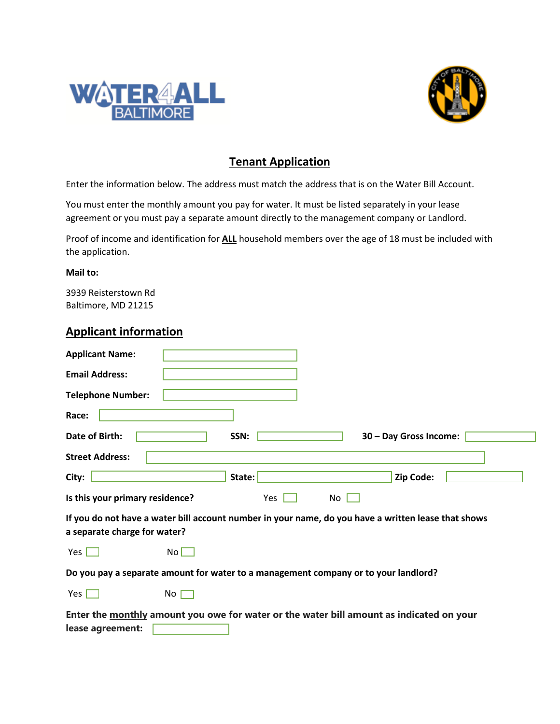



# **Tenant Application**

Enter the information below. The address must match the address that is on the Water Bill Account.

You must enter the monthly amount you pay for water. It must be listed separately in your lease agreement or you must pay a separate amount directly to the management company or Landlord.

Proof of income and identification for **ALL** household members over the age of 18 must be included with the application.

#### **Mail to:**

3939 Reisterstown Rd Baltimore, MD 21215

#### **Applicant information**

| <b>Applicant Name:</b>                                                                                                              |                 |        |     |                        |  |
|-------------------------------------------------------------------------------------------------------------------------------------|-----------------|--------|-----|------------------------|--|
| <b>Email Address:</b>                                                                                                               |                 |        |     |                        |  |
| <b>Telephone Number:</b>                                                                                                            |                 |        |     |                        |  |
| Race:                                                                                                                               |                 |        |     |                        |  |
| Date of Birth:                                                                                                                      |                 | SSN:   |     | 30 - Day Gross Income: |  |
| <b>Street Address:</b>                                                                                                              |                 |        |     |                        |  |
| City:                                                                                                                               |                 | State: |     | Zip Code:              |  |
| Is this your primary residence?                                                                                                     |                 | Yes    | No. |                        |  |
| If you do not have a water bill account number in your name, do you have a written lease that shows<br>a separate charge for water? |                 |        |     |                        |  |
| Yes $\Box$                                                                                                                          | $No \Box$       |        |     |                        |  |
| Do you pay a separate amount for water to a management company or to your landlord?                                                 |                 |        |     |                        |  |
| Yes                                                                                                                                 | No <sub>1</sub> |        |     |                        |  |
| Enter the monthly amount you owe for water or the water bill amount as indicated on your<br>lease agreement:                        |                 |        |     |                        |  |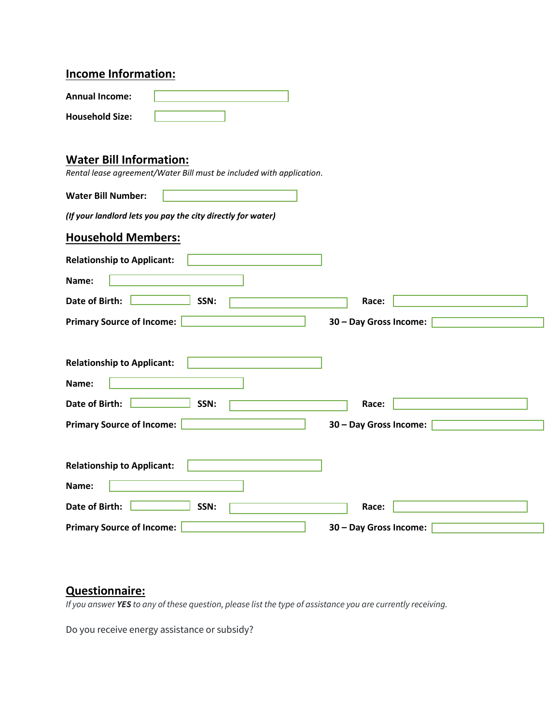## **Income Information:**

| <b>Annual Income:</b>  |  |
|------------------------|--|
| <b>Household Size:</b> |  |

## **Water Bill Information:**

*Rental lease agreement/Water Bill must be included with application.*

| <b>Water Bill Number:</b>                                                                                |                                 |
|----------------------------------------------------------------------------------------------------------|---------------------------------|
| (If your landlord lets you pay the city directly for water)                                              |                                 |
| <b>Household Members:</b>                                                                                |                                 |
| <b>Relationship to Applicant:</b>                                                                        |                                 |
| Name:                                                                                                    |                                 |
| Date of Birth:<br>SSN:                                                                                   | Race:                           |
| <b>Primary Source of Income:</b>                                                                         | 30 - Day Gross Income:          |
| <b>Relationship to Applicant:</b><br>Name:<br>Date of Birth:<br>SSN:<br><b>Primary Source of Income:</b> | Race:<br>30 - Day Gross Income: |
| <b>Relationship to Applicant:</b><br>Name:                                                               |                                 |
| Date of Birth:<br>SSN:                                                                                   | Race:                           |
| <b>Primary Source of Income:</b>                                                                         | 30 - Day Gross Income:          |

# **Questionnaire:**

*If you answer YES to any of these question, please list the type of assistance you are currently receiving.*

Do you receive energy assistance or subsidy?